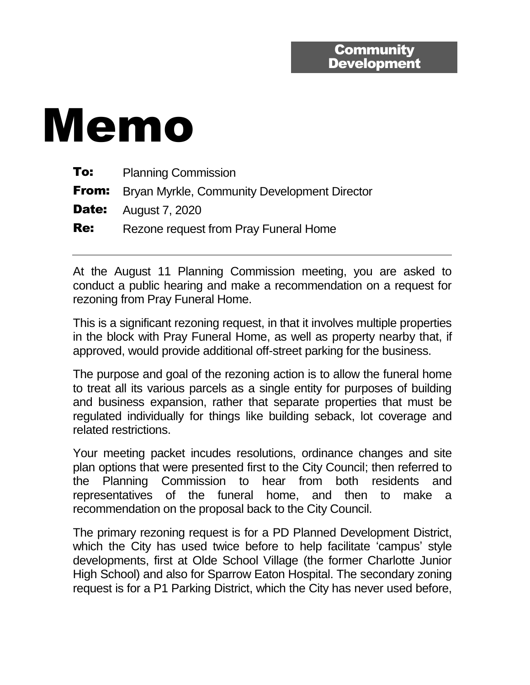## Memo

| To:        | <b>Planning Commission</b>                                |
|------------|-----------------------------------------------------------|
|            | <b>From:</b> Bryan Myrkle, Community Development Director |
|            | <b>Date:</b> August 7, 2020                               |
| <b>Re:</b> | Rezone request from Pray Funeral Home                     |

At the August 11 Planning Commission meeting, you are asked to conduct a public hearing and make a recommendation on a request for rezoning from Pray Funeral Home.

This is a significant rezoning request, in that it involves multiple properties in the block with Pray Funeral Home, as well as property nearby that, if approved, would provide additional off-street parking for the business.

The purpose and goal of the rezoning action is to allow the funeral home to treat all its various parcels as a single entity for purposes of building and business expansion, rather that separate properties that must be regulated individually for things like building seback, lot coverage and related restrictions.

Your meeting packet incudes resolutions, ordinance changes and site plan options that were presented first to the City Council; then referred to the Planning Commission to hear from both residents and representatives of the funeral home, and then to make a recommendation on the proposal back to the City Council.

The primary rezoning request is for a PD Planned Development District, which the City has used twice before to help facilitate 'campus' style developments, first at Olde School Village (the former Charlotte Junior High School) and also for Sparrow Eaton Hospital. The secondary zoning request is for a P1 Parking District, which the City has never used before,